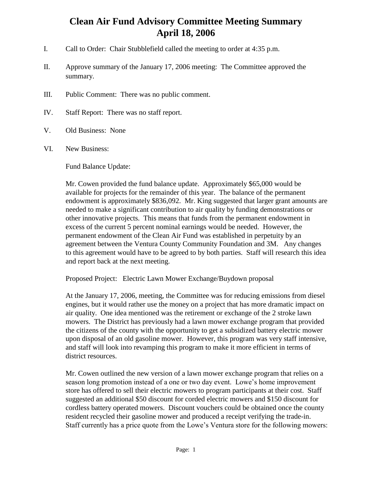## **Clean Air Fund Advisory Committee Meeting Summary April 18, 2006**

- I. Call to Order: Chair Stubblefield called the meeting to order at 4:35 p.m.
- II. Approve summary of the January 17, 2006 meeting: The Committee approved the summary.
- III. Public Comment: There was no public comment.
- IV. Staff Report: There was no staff report.
- V. Old Business: None
- VI. New Business:

Fund Balance Update:

Mr. Cowen provided the fund balance update. Approximately \$65,000 would be available for projects for the remainder of this year. The balance of the permanent endowment is approximately \$836,092. Mr. King suggested that larger grant amounts are needed to make a significant contribution to air quality by funding demonstrations or other innovative projects. This means that funds from the permanent endowment in excess of the current 5 percent nominal earnings would be needed. However, the permanent endowment of the Clean Air Fund was established in perpetuity by an agreement between the Ventura County Community Foundation and 3M. Any changes to this agreement would have to be agreed to by both parties. Staff will research this idea and report back at the next meeting.

Proposed Project: Electric Lawn Mower Exchange/Buydown proposal

At the January 17, 2006, meeting, the Committee was for reducing emissions from diesel engines, but it would rather use the money on a project that has more dramatic impact on air quality. One idea mentioned was the retirement or exchange of the 2 stroke lawn mowers. The District has previously had a lawn mower exchange program that provided the citizens of the county with the opportunity to get a subsidized battery electric mower upon disposal of an old gasoline mower. However, this program was very staff intensive, and staff will look into revamping this program to make it more efficient in terms of district resources.

Mr. Cowen outlined the new version of a lawn mower exchange program that relies on a season long promotion instead of a one or two day event. Lowe's home improvement store has offered to sell their electric mowers to program participants at their cost. Staff suggested an additional \$50 discount for corded electric mowers and \$150 discount for cordless battery operated mowers. Discount vouchers could be obtained once the county resident recycled their gasoline mower and produced a receipt verifying the trade-in. Staff currently has a price quote from the Lowe's Ventura store for the following mowers: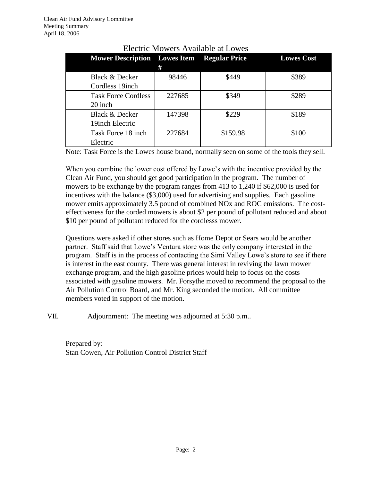| <b>Mower Description</b> Lowes Item Regular Price | #      |          | <b>Lowes Cost</b> |
|---------------------------------------------------|--------|----------|-------------------|
| <b>Black &amp; Decker</b>                         | 98446  | \$449    | \$389             |
| Cordless 19 inch                                  |        |          |                   |
| <b>Task Force Cordless</b>                        | 227685 | \$349    | \$289             |
| 20 inch                                           |        |          |                   |
| Black & Decker                                    | 147398 | \$229    | \$189             |
| 19 inch Electric                                  |        |          |                   |
| Task Force 18 inch                                | 227684 | \$159.98 | \$100             |
| Electric                                          |        |          |                   |

## Electric Mowers Available at Lowes

Note: Task Force is the Lowes house brand, normally seen on some of the tools they sell.

When you combine the lower cost offered by Lowe's with the incentive provided by the Clean Air Fund, you should get good participation in the program. The number of mowers to be exchange by the program ranges from 413 to 1,240 if \$62,000 is used for incentives with the balance (\$3,000) used for advertising and supplies. Each gasoline mower emits approximately 3.5 pound of combined NOx and ROC emissions. The costeffectiveness for the corded mowers is about \$2 per pound of pollutant reduced and about \$10 per pound of pollutant reduced for the cordlesss mower.

Questions were asked if other stores such as Home Depot or Sears would be another partner. Staff said that Lowe's Ventura store was the only company interested in the program. Staff is in the process of contacting the Simi Valley Lowe's store to see if there is interest in the east county. There was general interest in reviving the lawn mower exchange program, and the high gasoline prices would help to focus on the costs associated with gasoline mowers. Mr. Forsythe moved to recommend the proposal to the Air Pollution Control Board, and Mr. King seconded the motion. All committee members voted in support of the motion.

VII. Adjournment: The meeting was adjourned at 5:30 p.m..

Prepared by: Stan Cowen, Air Pollution Control District Staff